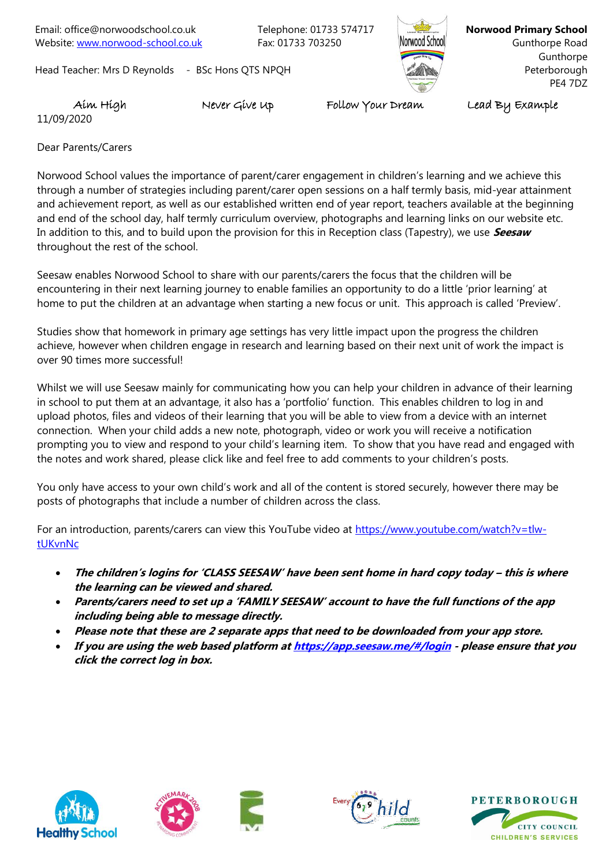Email: office@norwoodschool.co.uk Telephone: 01733 574717 Website: [www.norwood-school.co.uk](http://www.norwood-school.co.uk/) Fax: 01733 703250

Head Teacher: Mrs D Reynolds - BSc Hons QTS NPQH



**Norwood Primary School** Gunthorpe Road Gunthorpe **Peterborough** PE4 7DZ

11/09/2020

Aim High Never Give Up Follow Your Dream Lead By Example

Dear Parents/Carers

Norwood School values the importance of parent/carer engagement in children's learning and we achieve this through a number of strategies including parent/carer open sessions on a half termly basis, mid-year attainment and achievement report, as well as our established written end of year report, teachers available at the beginning and end of the school day, half termly curriculum overview, photographs and learning links on our website etc. In addition to this, and to build upon the provision for this in Reception class (Tapestry), we use **Seesaw** throughout the rest of the school.

Seesaw enables Norwood School to share with our parents/carers the focus that the children will be encountering in their next learning journey to enable families an opportunity to do a little 'prior learning' at home to put the children at an advantage when starting a new focus or unit. This approach is called 'Preview'.

Studies show that homework in primary age settings has very little impact upon the progress the children achieve, however when children engage in research and learning based on their next unit of work the impact is over 90 times more successful!

Whilst we will use Seesaw mainly for communicating how you can help your children in advance of their learning in school to put them at an advantage, it also has a 'portfolio' function. This enables children to log in and upload photos, files and videos of their learning that you will be able to view from a device with an internet connection. When your child adds a new note, photograph, video or work you will receive a notification prompting you to view and respond to your child's learning item. To show that you have read and engaged with the notes and work shared, please click like and feel free to add comments to your children's posts.

You only have access to your own child's work and all of the content is stored securely, however there may be posts of photographs that include a number of children across the class.

For an introduction, parents/carers can view this YouTube video at [https://www.youtube.com/watch?v=tlw](https://www.youtube.com/watch?v=tlw-tUKvnNc)[tUKvnNc](https://www.youtube.com/watch?v=tlw-tUKvnNc)

- **The children's logins for 'CLASS SEESAW' have been sent home in hard copy today – this is where the learning can be viewed and shared.**
- **Parents/carers need to set up a 'FAMILY SEESAW' account to have the full functions of the app including being able to message directly.**
- **Please note that these are 2 separate apps that need to be downloaded from your app store.**
- **If you are using the web based platform a[t https://app.seesaw.me/#/login](https://app.seesaw.me/#/login) - please ensure that you click the correct log in box.**